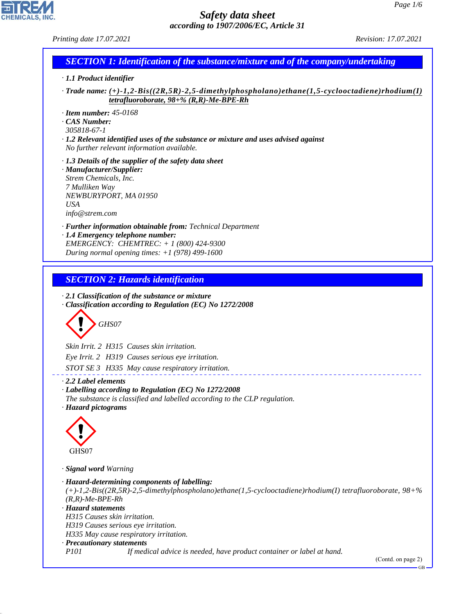| <i>Printing date 17.07.2021</i>                                                                                                                                                                       | <i>Revision: 17.07.2021</i> |  |  |  |
|-------------------------------------------------------------------------------------------------------------------------------------------------------------------------------------------------------|-----------------------------|--|--|--|
| <b>SECTION 1: Identification of the substance/mixture and of the company/undertaking</b>                                                                                                              |                             |  |  |  |
| $\cdot$ 1.1 Product identifier                                                                                                                                                                        |                             |  |  |  |
| $\cdot$ Trade name: (+)-1,2-Bis((2R,5R)-2,5-dimethylphospholano)ethane(1,5-cyclooctadiene)rhodium(I)<br>tetrafluoroborate, $98 + \% (R, R)$ -Me-BPE-Rh                                                |                             |  |  |  |
| $\cdot$ Item number: 45-0168<br>CAS Number:<br>305818-67-1<br>$\cdot$ 1.2 Relevant identified uses of the substance or mixture and uses advised against<br>No further relevant information available. |                             |  |  |  |
| $\cdot$ 1.3 Details of the supplier of the safety data sheet<br>· Manufacturer/Supplier:<br>Strem Chemicals, Inc.<br>7 Mulliken Way<br>NEWBURYPORT, MA 01950<br>USA<br>info@strem.com                 |                             |  |  |  |
| $\cdot$ <b>Further information obtainable from:</b> Technical Department                                                                                                                              |                             |  |  |  |

*· 1.4 Emergency telephone number: EMERGENCY: CHEMTREC: + 1 (800) 424-9300 During normal opening times: +1 (978) 499-1600*

# *SECTION 2: Hazards identification*

*· 2.1 Classification of the substance or mixture · Classification according to Regulation (EC) No 1272/2008*

$$
\bigotimes \mathrm{GH}S07
$$

*Skin Irrit. 2 H315 Causes skin irritation.*

*Eye Irrit. 2 H319 Causes serious eye irritation.*

*STOT SE 3 H335 May cause respiratory irritation.*

### *· 2.2 Label elements*

*· Labelling according to Regulation (EC) No 1272/2008 The substance is classified and labelled according to the CLP regulation. · Hazard pictograms*



44.1.1

*· Signal word Warning*

```
· Hazard-determining components of labelling:
(+)-1,2-Bis((2R,5R)-2,5-dimethylphospholano)ethane(1,5-cyclooctadiene)rhodium(I) tetrafluoroborate, 98+%
(R,R)-Me-BPE-Rh
· Hazard statements
H315 Causes skin irritation.
H319 Causes serious eye irritation.
H335 May cause respiratory irritation.
· Precautionary statements
P101 If medical advice is needed, have product container or label at hand.
```
(Contd. on page 2)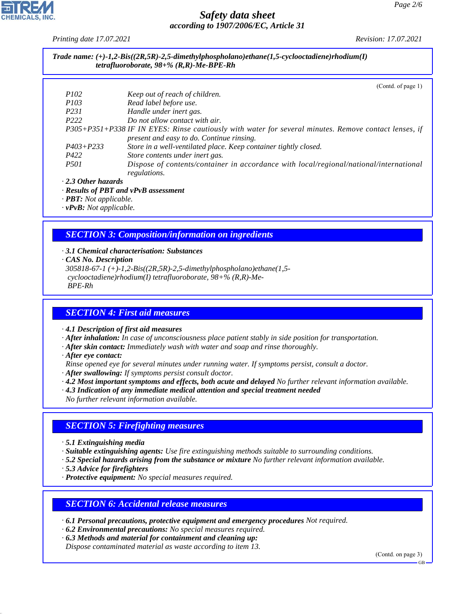*Printing date 17.07.2021 Revision: 17.07.2021*

#### *Trade name: (+)-1,2-Bis((2R,5R)-2,5-dimethylphospholano)ethane(1,5-cyclooctadiene)rhodium(I) tetrafluoroborate, 98+% (R,R)-Me-BPE-Rh*

|                           | (Contd. of page $1$ )                                                                                 |
|---------------------------|-------------------------------------------------------------------------------------------------------|
| <i>P102</i>               | Keep out of reach of children.                                                                        |
| <i>P103</i>               | Read label before use.                                                                                |
| P <sub>231</sub>          | Handle under inert gas.                                                                               |
| P <sub>222</sub>          | Do not allow contact with air.                                                                        |
|                           | P305+P351+P338 IF IN EYES: Rinse cautiously with water for several minutes. Remove contact lenses, if |
|                           | present and easy to do. Continue rinsing.                                                             |
| $P403 + P233$             | Store in a well-ventilated place. Keep container tightly closed.                                      |
| P422                      | Store contents under inert gas.                                                                       |
| <i>P501</i>               | Dispose of contents/container in accordance with local/regional/national/international                |
|                           | regulations.                                                                                          |
| $\cdot$ 2.3 Other hazards |                                                                                                       |

#### *· Results of PBT and vPvB assessment*

*· PBT: Not applicable.*

*· vPvB: Not applicable.*

#### *SECTION 3: Composition/information on ingredients*

- *· 3.1 Chemical characterisation: Substances*
- *· CAS No. Description*

*305818-67-1 (+)-1,2-Bis((2R,5R)-2,5-dimethylphospholano)ethane(1,5 cyclooctadiene)rhodium(I) tetrafluoroborate, 98+% (R,R)-Me- BPE-Rh*

#### *SECTION 4: First aid measures*

*· 4.1 Description of first aid measures*

*· After inhalation: In case of unconsciousness place patient stably in side position for transportation.*

- *· After skin contact: Immediately wash with water and soap and rinse thoroughly.*
- *· After eye contact:*
- *Rinse opened eye for several minutes under running water. If symptoms persist, consult a doctor.*
- *· After swallowing: If symptoms persist consult doctor.*
- *· 4.2 Most important symptoms and effects, both acute and delayed No further relevant information available.*
- *· 4.3 Indication of any immediate medical attention and special treatment needed*

*No further relevant information available.*

#### *SECTION 5: Firefighting measures*

- *· 5.1 Extinguishing media*
- *· Suitable extinguishing agents: Use fire extinguishing methods suitable to surrounding conditions.*
- *· 5.2 Special hazards arising from the substance or mixture No further relevant information available.*
- *· 5.3 Advice for firefighters*

44.1.1

*· Protective equipment: No special measures required.*

#### *SECTION 6: Accidental release measures*

*· 6.1 Personal precautions, protective equipment and emergency procedures Not required.*

- *· 6.2 Environmental precautions: No special measures required.*
- *· 6.3 Methods and material for containment and cleaning up:*

*Dispose contaminated material as waste according to item 13.*

(Contd. on page 3)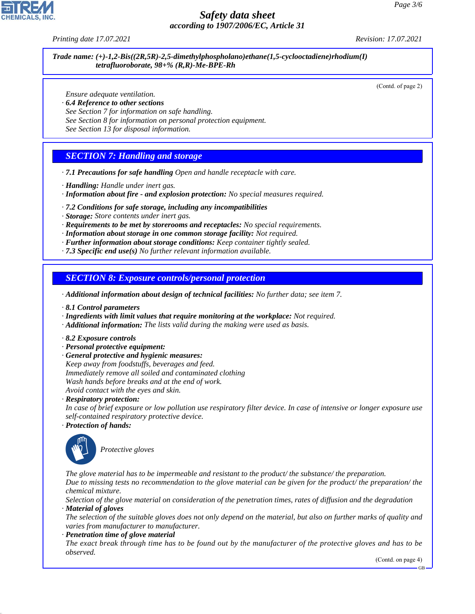*Printing date 17.07.2021 Revision: 17.07.2021*

*Trade name: (+)-1,2-Bis((2R,5R)-2,5-dimethylphospholano)ethane(1,5-cyclooctadiene)rhodium(I) tetrafluoroborate, 98+% (R,R)-Me-BPE-Rh*

(Contd. of page 2)

*Ensure adequate ventilation.*

- *· 6.4 Reference to other sections*
- *See Section 7 for information on safe handling.*
- *See Section 8 for information on personal protection equipment.*

*See Section 13 for disposal information.*

#### *SECTION 7: Handling and storage*

- *· 7.1 Precautions for safe handling Open and handle receptacle with care.*
- *· Handling: Handle under inert gas.*
- *· Information about fire and explosion protection: No special measures required.*
- *· 7.2 Conditions for safe storage, including any incompatibilities*
- *· Storage: Store contents under inert gas.*
- *· Requirements to be met by storerooms and receptacles: No special requirements.*
- *· Information about storage in one common storage facility: Not required.*
- *· Further information about storage conditions: Keep container tightly sealed.*
- *· 7.3 Specific end use(s) No further relevant information available.*

*SECTION 8: Exposure controls/personal protection*

- *· Additional information about design of technical facilities: No further data; see item 7.*
- *· 8.1 Control parameters*
- *· Ingredients with limit values that require monitoring at the workplace: Not required.*
- *· Additional information: The lists valid during the making were used as basis.*
- *· 8.2 Exposure controls*
- *· Personal protective equipment:*
- *· General protective and hygienic measures:*
- *Keep away from foodstuffs, beverages and feed.*
- *Immediately remove all soiled and contaminated clothing*
- *Wash hands before breaks and at the end of work. Avoid contact with the eyes and skin.*
- *· Respiratory protection:*
- *In case of brief exposure or low pollution use respiratory filter device. In case of intensive or longer exposure use self-contained respiratory protective device.*
- *· Protection of hands:*



44.1.1

\_S*Protective gloves*

*The glove material has to be impermeable and resistant to the product/ the substance/ the preparation. Due to missing tests no recommendation to the glove material can be given for the product/ the preparation/ the chemical mixture.*

*Selection of the glove material on consideration of the penetration times, rates of diffusion and the degradation · Material of gloves*

*The selection of the suitable gloves does not only depend on the material, but also on further marks of quality and varies from manufacturer to manufacturer.*

*· Penetration time of glove material*

*The exact break through time has to be found out by the manufacturer of the protective gloves and has to be observed.*

(Contd. on page 4)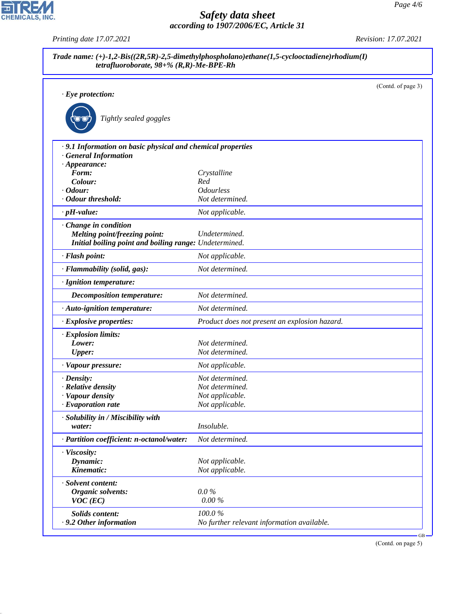|                                                             |                                               | (Contd. of page 3) |
|-------------------------------------------------------------|-----------------------------------------------|--------------------|
| $\cdot$ Eye protection:                                     |                                               |                    |
| Tightly sealed goggles                                      |                                               |                    |
| · 9.1 Information on basic physical and chemical properties |                                               |                    |
| <b>General Information</b>                                  |                                               |                    |
| $\cdot$ Appearance:                                         |                                               |                    |
| Form:<br>Colour:                                            | Crystalline<br>Red                            |                    |
| $\cdot$ Odour:                                              | <b>Odourless</b>                              |                    |
| · Odour threshold:                                          | Not determined.                               |                    |
| $\cdot$ pH-value:                                           | Not applicable.                               |                    |
| Change in condition                                         |                                               |                    |
| Melting point/freezing point:                               | Undetermined.                                 |                    |
| Initial boiling point and boiling range: Undetermined.      |                                               |                    |
| · Flash point:                                              | Not applicable.                               |                    |
| · Flammability (solid, gas):                                | Not determined.                               |                    |
| · Ignition temperature:                                     |                                               |                    |
| <b>Decomposition temperature:</b>                           | Not determined.                               |                    |
| · Auto-ignition temperature:                                | Not determined.                               |                    |
| · Explosive properties:                                     | Product does not present an explosion hazard. |                    |
| · Explosion limits:                                         |                                               |                    |
| Lower:                                                      | Not determined.                               |                    |
| <b>Upper:</b>                                               | Not determined.                               |                    |
| · Vapour pressure:                                          | Not applicable.                               |                    |
| $\cdot$ Density:                                            | Not determined.                               |                    |
| · Relative density                                          | Not determined.                               |                    |
| · Vapour density                                            | Not applicable.                               |                    |
| $\cdot$ Evaporation rate                                    | Not applicable.                               |                    |
| · Solubility in / Miscibility with                          |                                               |                    |
| water:                                                      | Insoluble.                                    |                    |
| · Partition coefficient: n-octanol/water:                   | Not determined.                               |                    |
| · Viscosity:                                                |                                               |                    |
| Dynamic:                                                    | Not applicable.                               |                    |
| Kinematic:                                                  | Not applicable.                               |                    |
| · Solvent content:                                          |                                               |                    |
| <b>Organic solvents:</b>                                    | $0.0\%$                                       |                    |
| $VOC$ (EC)                                                  | $0.00\%$                                      |                    |
| Solids content:                                             | 100.0%                                        |                    |
| .9.2 Other information                                      | No further relevant information available.    |                    |

(Contd. on page 5)



44.1.1

*Printing date 17.07.2021 Revision: 17.07.2021*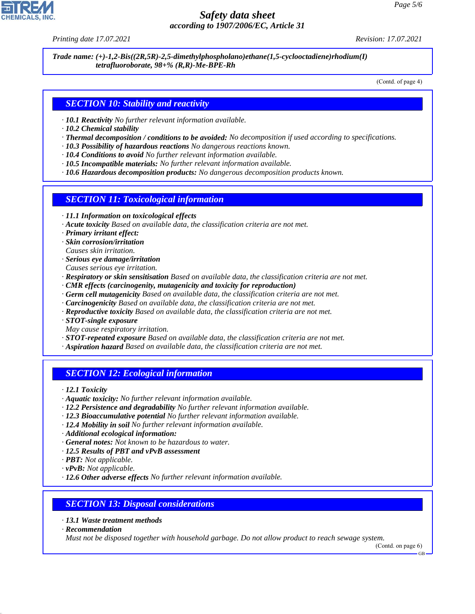*Printing date 17.07.2021 Revision: 17.07.2021*

*Trade name: (+)-1,2-Bis((2R,5R)-2,5-dimethylphospholano)ethane(1,5-cyclooctadiene)rhodium(I) tetrafluoroborate, 98+% (R,R)-Me-BPE-Rh*

(Contd. of page 4)

# *SECTION 10: Stability and reactivity*

- *· 10.1 Reactivity No further relevant information available.*
- *· 10.2 Chemical stability*
- *· Thermal decomposition / conditions to be avoided: No decomposition if used according to specifications.*
- *· 10.3 Possibility of hazardous reactions No dangerous reactions known.*
- *· 10.4 Conditions to avoid No further relevant information available.*
- *· 10.5 Incompatible materials: No further relevant information available.*
- *· 10.6 Hazardous decomposition products: No dangerous decomposition products known.*

## *SECTION 11: Toxicological information*

- *· 11.1 Information on toxicological effects*
- *· Acute toxicity Based on available data, the classification criteria are not met.*
- *· Primary irritant effect:*
- *· Skin corrosion/irritation*
- *Causes skin irritation.*
- *· Serious eye damage/irritation*
- *Causes serious eye irritation.*
- *· Respiratory or skin sensitisation Based on available data, the classification criteria are not met.*
- *· CMR effects (carcinogenity, mutagenicity and toxicity for reproduction)*
- *· Germ cell mutagenicity Based on available data, the classification criteria are not met.*
- *· Carcinogenicity Based on available data, the classification criteria are not met.*
- *· Reproductive toxicity Based on available data, the classification criteria are not met.*
- *· STOT-single exposure*
- *May cause respiratory irritation.*
- *· STOT-repeated exposure Based on available data, the classification criteria are not met.*
- *· Aspiration hazard Based on available data, the classification criteria are not met.*

# *SECTION 12: Ecological information*

*· 12.1 Toxicity*

- *· Aquatic toxicity: No further relevant information available.*
- *· 12.2 Persistence and degradability No further relevant information available.*
- *· 12.3 Bioaccumulative potential No further relevant information available.*
- *· 12.4 Mobility in soil No further relevant information available.*
- *· Additional ecological information:*
- *· General notes: Not known to be hazardous to water.*
- *· 12.5 Results of PBT and vPvB assessment*
- *· PBT: Not applicable.*
- *· vPvB: Not applicable.*
- *· 12.6 Other adverse effects No further relevant information available.*

# *SECTION 13: Disposal considerations*

- *· 13.1 Waste treatment methods*
- *· Recommendation*

44.1.1

*Must not be disposed together with household garbage. Do not allow product to reach sewage system.*

GB